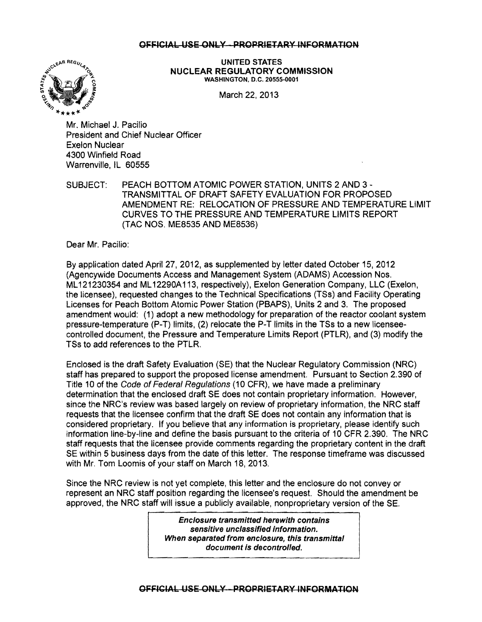## OFFICIAL USE ONLY - PROPRIETARY INFORMATION



 $\int e^{\int x^{\sqrt{C}}\sqrt{R} R E G} d\mu$  UNITED STATES NUCLEAR REGULATORY COMMISSION WASHINGTON, D.C. 20555-0001

Mr. Michael J. Pacilio President and Chief Nuclear Officer Exelon Nuclear 4300 Winfield Road Warrenville, IL 60555

SUBJECT: PEACH BOTTOM ATOMIC POWER STATION, UNITS 2 AND 3 TRANSMITTAL OF DRAFT SAFETY EVALUATION FOR PROPOSED AMENDMENT RE: RELOCATION OF PRESSURE AND TEMPERATURE LIMIT CURVES TO THE PRESSURE AND TEMPERATURE LIMITS REPORT (TAC NOS. ME8535 AND ME8536)

Dear Mr. Pacilio:

By application dated April 27, 2012, as supplemented by letter dated October 15, 2012 (Agencywide Documents Access and Management System (ADAMS) Accession Nos. ML 121230354 and ML 12290A 113, respectively), Exelon Generation Company, LLC (Exelon, the licensee), requested changes to the Technical Specifications (TSs) and Facility Operating Licenses for Peach Bottom Atomic Power Station (PBAPS), Units 2 and 3. The proposed amendment would: (1) adopt a new methodology for preparation of the reactor coolant system pressure-temperature (P-T) limits, (2) relocate the P-T limits in the TSs to a new licenseecontrolled document, the Pressure and Temperature Limits Report (PTLR), and (3) modify the TSs to add references to the PTLR.

Enclosed is the draft Safety Evaluation (SE) that the Nuclear Regulatory Commission (NRC) staff has prepared to support the proposed license amendment. Pursuant to Section 2.390 of Title 10 of the Code of Federal Regulations (10 CFR), we have made a preliminary determination that the enclosed draft SE does not contain proprietary information. However, since the NRC's review was based largely on review of proprietary information, the NRC staff requests that the licensee confirm that the draft SE does not contain any information that is considered proprietary. If you believe that any information is proprietary, please identify such information line-by-line and define the basis pursuant to the criteria of 10 CFR 2.390. The NRC staff requests that the licensee provide comments regarding the proprietary content in the draft SE within 5 business days from the date of this letter. The response timeframe was discussed with Mr. Tom Loomis of your staff on March 18,2013.

Since the NRC review is not yet complete, this letter and the enclosure do not convey or represent an NRC staff position regarding the licensee's request. Should the amendment be approved, the NRC staff will issue a publicly available, nonproprietary version of the SE.

> Enclosure transmitted herewith contains sensitive unclassified information. When separated from enclosure, this transmittal document is decontrolled.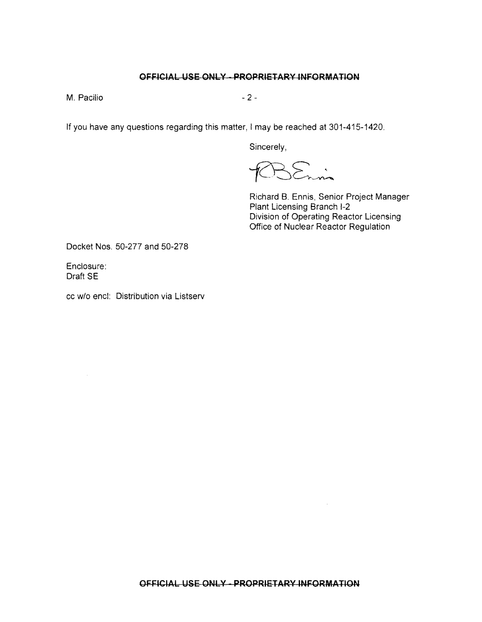## **OFFICIAL USE ONLY - PROPRIETARY INFORMATION**

 $M.$  Pacifio  $-2-$ 

If you have any questions regarding this matter. I may be reached at 301-415-1420.

Sincerely,

 $\sum_{r=n}$ 

Richard B. Ennis, Senior Project Manager Plant Licensing Branch 1-2 Division of Operating Reactor Licensing Office of Nuclear Reactor Regulation

Docket Nos. 50-277 and 50-278

Enclosure: Draft SE

cc w/o encl: Distribution via Listserv